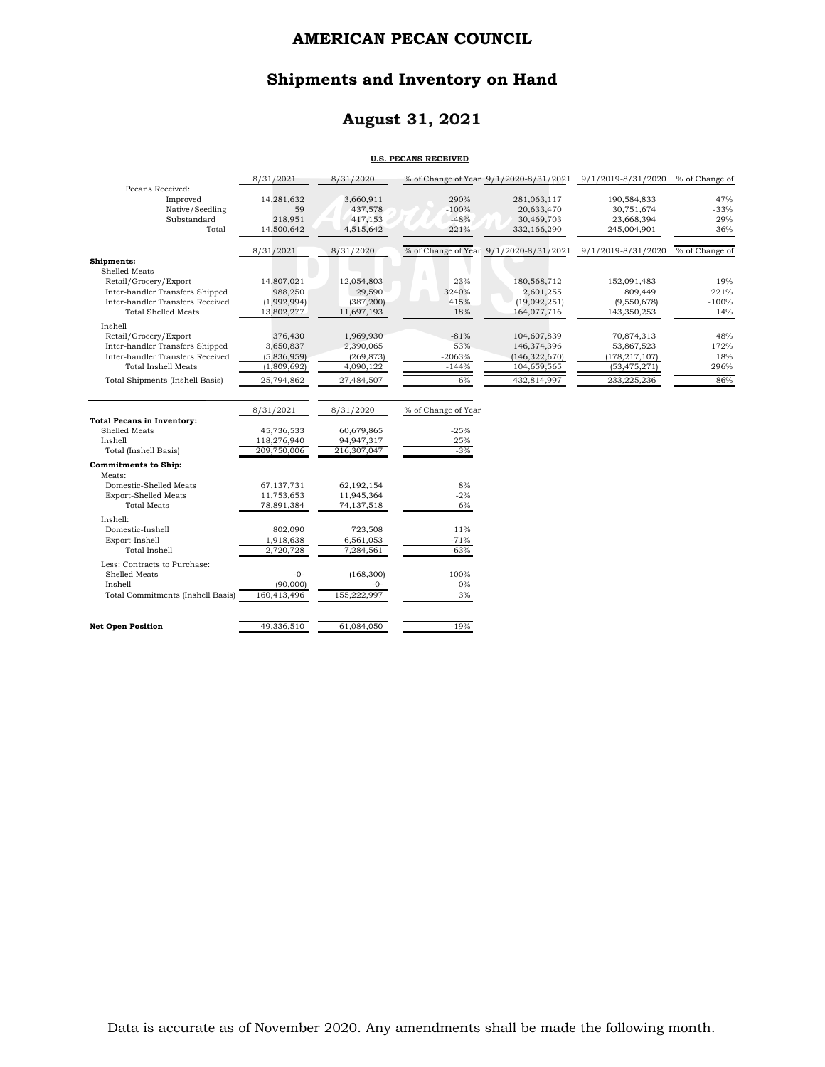## **Shipments and Inventory on Hand**

## **August 31, 2021**

#### **U.S. PECANS RECEIVED**

|                                                                     | 8/31/2021              | 8/31/2020                |                     |                                        | % of Change of Year 9/1/2020-8/31/2021 9/1/2019-8/31/2020 | % of Change of |
|---------------------------------------------------------------------|------------------------|--------------------------|---------------------|----------------------------------------|-----------------------------------------------------------|----------------|
| Pecans Received:<br>Improved                                        | 14,281,632             | 3,660,911                | 290%                | 281,063,117                            | 190,584,833                                               | 47%            |
| Native/Seedling                                                     | 59                     | 437,578                  | $-100%$             | 20,633,470                             | 30,751,674                                                | $-33%$         |
| Substandard                                                         | 218,951                | 417,153                  | $-48%$              | 30,469,703                             | 23,668,394                                                | 29%            |
| Total                                                               | 14,500,642             | 4,515,642                | 221%                | 332,166,290                            | 245,004,901                                               | 36%            |
|                                                                     |                        |                          |                     |                                        |                                                           |                |
|                                                                     | 8/31/2021              | 8/31/2020                |                     | % of Change of Year 9/1/2020-8/31/2021 | 9/1/2019-8/31/2020                                        | % of Change of |
| Shipments:                                                          |                        |                          |                     |                                        |                                                           |                |
| Shelled Meats                                                       |                        |                          |                     |                                        |                                                           |                |
| Retail/Grocery/Export                                               | 14,807,021             | 12,054,803               | 23%                 | 180,568,712                            | 152,091,483                                               | 19%<br>221%    |
| Inter-handler Transfers Shipped<br>Inter-handler Transfers Received | 988,250<br>(1,992,994) | 29,590                   | 3240%<br>415%       | 2,601,255<br>(19,092,251)              | 809,449                                                   | $-100%$        |
| <b>Total Shelled Meats</b>                                          | 13,802,277             | (387, 200)<br>11,697,193 | 18%                 | 164,077,716                            | (9,550,678)<br>143,350,253                                | 14%            |
| Inshell                                                             |                        |                          |                     |                                        |                                                           |                |
| Retail/Grocery/Export                                               | 376,430                | 1,969,930                | $-81%$              | 104,607,839                            | 70,874,313                                                | 48%            |
| Inter-handler Transfers Shipped                                     | 3,650,837              | 2,390,065                | 53%                 | 146,374,396                            | 53,867,523                                                | 172%           |
| Inter-handler Transfers Received                                    | (5,836,959)            | (269, 873)               | $-2063%$            | (146, 322, 670)                        | (178, 217, 107)                                           | 18%            |
| <b>Total Inshell Meats</b>                                          | (1,809,692)            | 4,090,122                | $-144%$             | 104,659,565                            | (53, 475, 271)                                            | 296%           |
| <b>Total Shipments (Inshell Basis)</b>                              | 25,794,862             | 27,484,507               | $-6\%$              | 432,814,997                            | 233,225,236                                               | 86%            |
|                                                                     |                        |                          |                     |                                        |                                                           |                |
|                                                                     | 8/31/2021              | 8/31/2020                | % of Change of Year |                                        |                                                           |                |
| <b>Total Pecans in Inventory:</b>                                   |                        |                          |                     |                                        |                                                           |                |
| Shelled Meats                                                       | 45,736,533             | 60,679,865               | $-25%$              |                                        |                                                           |                |
| Inshell                                                             | 118,276,940            | 94,947,317               | 25%                 |                                        |                                                           |                |
| Total (Inshell Basis)                                               | 209,750,006            | 216,307,047              | $-3%$               |                                        |                                                           |                |
| <b>Commitments to Ship:</b>                                         |                        |                          |                     |                                        |                                                           |                |
| Meats:                                                              |                        |                          |                     |                                        |                                                           |                |
| Domestic-Shelled Meats                                              | 67,137,731             | 62,192,154               | 8%                  |                                        |                                                           |                |
| <b>Export-Shelled Meats</b><br><b>Total Meats</b>                   | 11,753,653             | 11,945,364               | $-2%$               |                                        |                                                           |                |
|                                                                     | 78,891,384             | 74,137,518               | 6%                  |                                        |                                                           |                |
| Inshell:                                                            |                        |                          |                     |                                        |                                                           |                |
| Domestic-Inshell                                                    | 802,090                | 723,508                  | 11%                 |                                        |                                                           |                |
| Export-Inshell<br><b>Total Inshell</b>                              | 1,918,638<br>2,720,728 | 6,561,053<br>7,284,561   | $-71%$<br>$-63%$    |                                        |                                                           |                |
|                                                                     |                        |                          |                     |                                        |                                                           |                |
| Less: Contracts to Purchase:                                        |                        |                          |                     |                                        |                                                           |                |
| Shelled Meats<br>Inshell                                            | $-0-$<br>(90,000)      | (168, 300)<br>$-0-$      | 100%<br>$0\%$       |                                        |                                                           |                |
| Total Commitments (Inshell Basis)                                   | 160,413,496            | 155,222,997              | 3%                  |                                        |                                                           |                |
|                                                                     |                        |                          |                     |                                        |                                                           |                |
| <b>Net Open Position</b>                                            | 49,336,510             | 61,084,050               | $-19%$              |                                        |                                                           |                |
|                                                                     |                        |                          |                     |                                        |                                                           |                |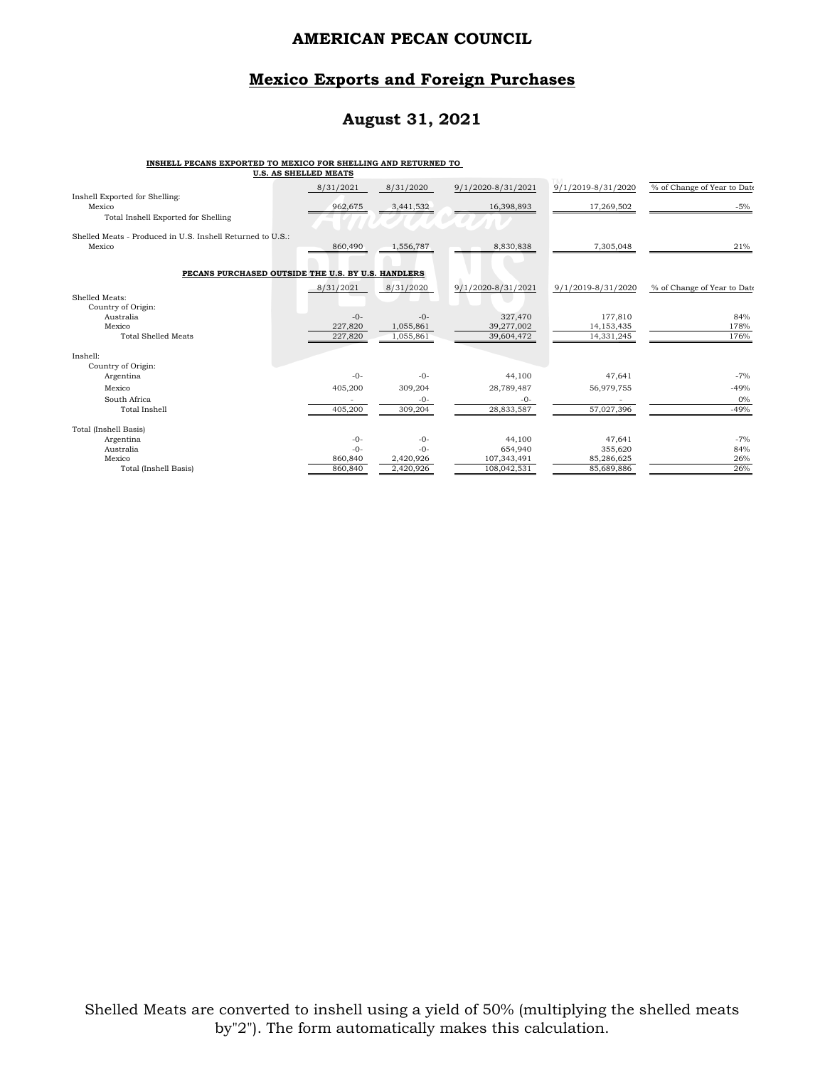### **Mexico Exports and Foreign Purchases**

## **August 31, 2021**

#### **INSHELL PECANS EXPORTED TO MEXICO FOR SHELLING AND RETURNED TO**

| <b>U.S. AS SHELLED MEATS</b>                               |                    |                        |                          |                            |                             |
|------------------------------------------------------------|--------------------|------------------------|--------------------------|----------------------------|-----------------------------|
|                                                            | 8/31/2021          | 8/31/2020              | 9/1/2020-8/31/2021       | 9/1/2019-8/31/2020         | % of Change of Year to Date |
| Inshell Exported for Shelling:<br>Mexico                   | 962,675            | 3,441,532              | 16,398,893               | 17,269,502                 | $-5%$                       |
| Total Inshell Exported for Shelling                        |                    |                        |                          |                            |                             |
| Shelled Meats - Produced in U.S. Inshell Returned to U.S.: |                    |                        |                          |                            |                             |
| Mexico                                                     | 860,490            | 1,556,787              | 8,830,838                | 7,305,048                  | 21%                         |
| PECANS PURCHASED OUTSIDE THE U.S. BY U.S. HANDLERS         |                    |                        |                          |                            |                             |
|                                                            | 8/31/2021          | 8/31/2020              | 9/1/2020-8/31/2021       | 9/1/2019-8/31/2020         | % of Change of Year to Date |
| Shelled Meats:                                             |                    |                        |                          |                            |                             |
| Country of Origin:                                         |                    |                        |                          |                            |                             |
| Australia<br>Mexico                                        | $-0-$              | $-0-$                  | 327,470                  | 177,810                    | 84%<br>178%                 |
| <b>Total Shelled Meats</b>                                 | 227,820<br>227,820 | 1,055,861<br>1,055,861 | 39,277,002<br>39,604,472 | 14, 153, 435<br>14,331,245 | 176%                        |
|                                                            |                    |                        |                          |                            |                             |
| Inshell:                                                   |                    |                        |                          |                            |                             |
| Country of Origin:                                         |                    |                        |                          |                            |                             |
| Argentina                                                  | $-0-$              | $-0-$                  | 44,100                   | 47,641                     | $-7%$                       |
| Mexico                                                     | 405,200            | 309,204                | 28,789,487               | 56,979,755                 | $-49%$                      |
| South Africa                                               |                    | $-0-$                  | $-0-$                    |                            | $0\%$                       |
| Total Inshell                                              | 405,200            | 309,204                | 28,833,587               | 57,027,396                 | $-49%$                      |
| Total (Inshell Basis)                                      |                    |                        |                          |                            |                             |
| Argentina                                                  | $-0-$              | $-0-$                  | 44,100                   | 47,641                     | $-7%$                       |
| Australia                                                  | $-0-$              | $-0-$                  | 654,940                  | 355,620                    | 84%                         |
| Mexico                                                     | 860,840            | 2,420,926              | 107,343,491              | 85,286,625                 | 26%                         |
| Total (Inshell Basis)                                      | 860,840            | 2,420,926              | 108,042,531              | 85,689,886                 | 26%                         |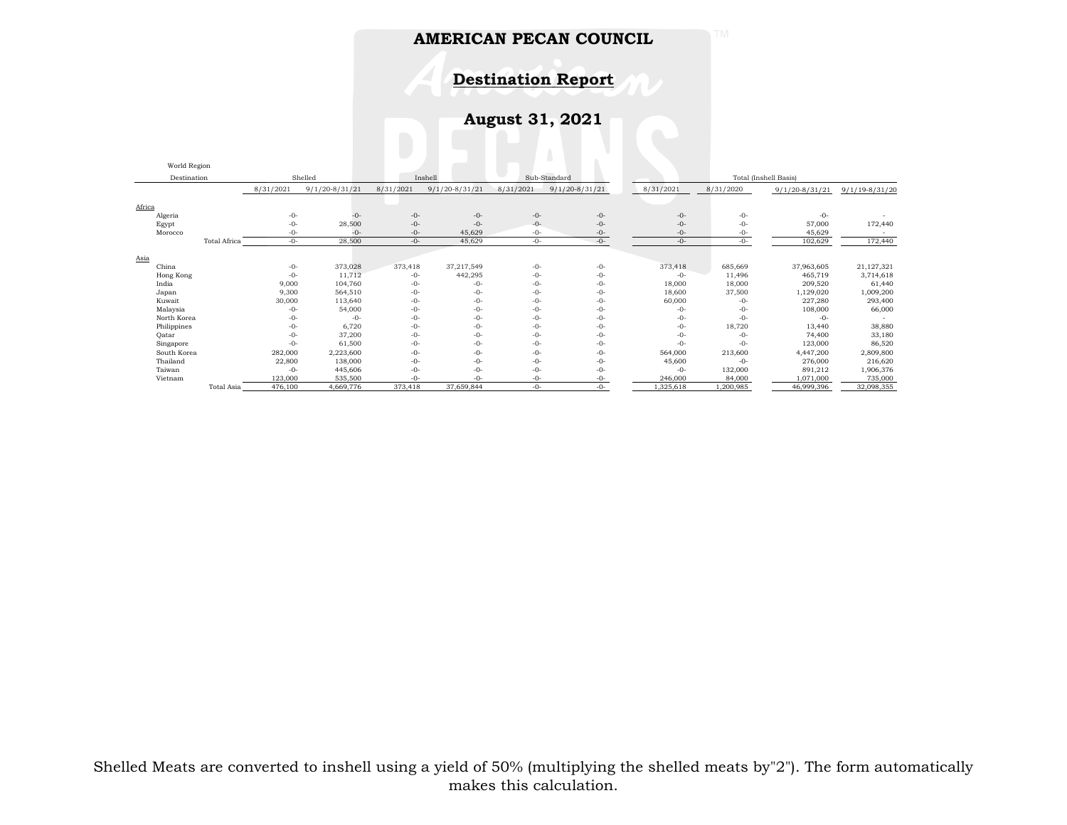**Destination Report**

**August 31, 2021**

|                        | World Region |              |           |                    |                                       |                    |           |                    |           |           |                    |                    |
|------------------------|--------------|--------------|-----------|--------------------|---------------------------------------|--------------------|-----------|--------------------|-----------|-----------|--------------------|--------------------|
| Shelled<br>Destination |              |              |           | Inshell            | Sub-Standard<br>Total (Inshell Basis) |                    |           |                    |           |           |                    |                    |
|                        |              |              | 8/31/2021 | $9/1/20 - 8/31/21$ | 8/31/2021                             | $9/1/20 - 8/31/21$ | 8/31/2021 | $9/1/20 - 8/31/21$ | 8/31/2021 | 8/31/2020 | $9/1/20 - 8/31/21$ | $9/1/19 - 8/31/20$ |
| Africa                 |              |              |           |                    |                                       |                    |           |                    |           |           |                    |                    |
|                        | Algeria      |              | $-0-$     | $-0-$              | $-0-$                                 | $-0-$              | $-0-$     | $-0-$              | $-0-$     | $-0-$     | $-0-$              |                    |
|                        | Egypt        |              | $-0-$     | 28,500             | $-0-$                                 | $-0-$              | $-0-$     | $-0-$              | $-0-$     | $-0-$     | 57,000             | 172,440            |
|                        | Morocco      |              | $-0-$     | $-0-$              | $-0-$                                 | 45,629             | $-0-$     | $-0-$              | $-0-$     | $-0-$     | 45,629             |                    |
|                        |              | Total Africa | $-0-$     | 28,500             | $-0-$                                 | 45,629             | $-0-$     | $-0-$              | $-0-$     | $-0-$     | 102,629            | 172,440            |
|                        |              |              |           |                    |                                       |                    |           |                    |           |           |                    |                    |
| Asia                   |              |              |           |                    |                                       |                    |           |                    |           |           |                    |                    |
|                        | China        |              | $-0-$     | 373,028            | 373,418                               | 37,217,549         | $-0-$     | $-0-$              | 373,418   | 685,669   | 37,963,605         | 21,127,321         |
|                        | Hong Kong    |              | $-0-$     | 11,712             | $-0-$                                 | 442,295            | $-0-$     | $-0-$              | $-0-$     | 11,496    | 465,719            | 3,714,618          |
|                        | India        |              | 9,000     | 104,760            | $-0-$                                 | $-0-$              | $-0-$     | $-0-$              | 18,000    | 18,000    | 209,520            | 61,440             |
|                        | Japan        |              | 9,300     | 564,510            | $-0-$                                 | $-0-$              | $-0-$     | $-0-$              | 18,600    | 37,500    | 1,129,020          | 1,009,200          |
|                        | Kuwait       |              | 30,000    | 113,640            | $-0-$                                 | $-0-$              | $-()$ -   | $-0-$              | 60,000    | $-()$ -   | 227,280            | 293,400            |
|                        | Malaysia     |              | $-0-$     | 54,000             | $-0-$                                 | $-0-$              | $-0-$     | $-0-$              | $-0-$     | $-0-$     | 108,000            | 66,000             |
|                        | North Korea  |              | $-0-$     | $-0-$              | $-0-$                                 | $-0-$              | $-0-$     | $-0-$              | $-0-$     | $-0-$     | $-0-$              |                    |
|                        | Philippines  |              | $-0-$     | 6,720              | $-0-$                                 | $-0-$              | $-0-$     | $-0-$              | $-0-$     | 18,720    | 13,440             | 38,880             |
|                        | Qatar        |              | $-0-$     | 37,200             | $-0-$                                 | $-0-$              | $-0-$     | $-0-$              | $-0-$     | $-0-$     | 74,400             | 33,180             |
|                        | Singapore    |              | $-0-$     | 61,500             | $-0-$                                 | $-0-$              | $-0-$     | $-0-$              | $-0-$     | $-0-$     | 123,000            | 86,520             |
|                        | South Korea  |              | 282,000   | 2,223,600          | $-0-$                                 | $-0-$              | $-0-$     | $-0-$              | 564,000   | 213,600   | 4,447,200          | 2,809,800          |
|                        | Thailand     |              | 22,800    | 138,000            | $-0-$                                 | $-0-$              | $-0-$     | $-0-$              | 45,600    | $-0-$     | 276,000            | 216,620            |
|                        | Taiwan       |              | $-0-$     | 445,606            | $-0-$                                 | $-0-$              | $-0-$     | $-0-$              | $-0-$     | 132,000   | 891,212            | 1,906,376          |
|                        | Vietnam      |              | 123,000   | 535,500            | $-0-$                                 | $-()$ -            | $-()$ -   | $-0-$              | 246,000   | 84,000    | 1,071,000          | 735,000            |
|                        |              | Total Asia   | 476,100   | 4,669,776          | 373,418                               | 37,659,844         | $-0-$     | $-0-$              | 1,325,618 | 1,200,985 | 46,999,396         | 32,098,355         |

Shelled Meats are converted to inshell using a yield of 50% (multiplying the shelled meats by"2"). The form automatically makes this calculation.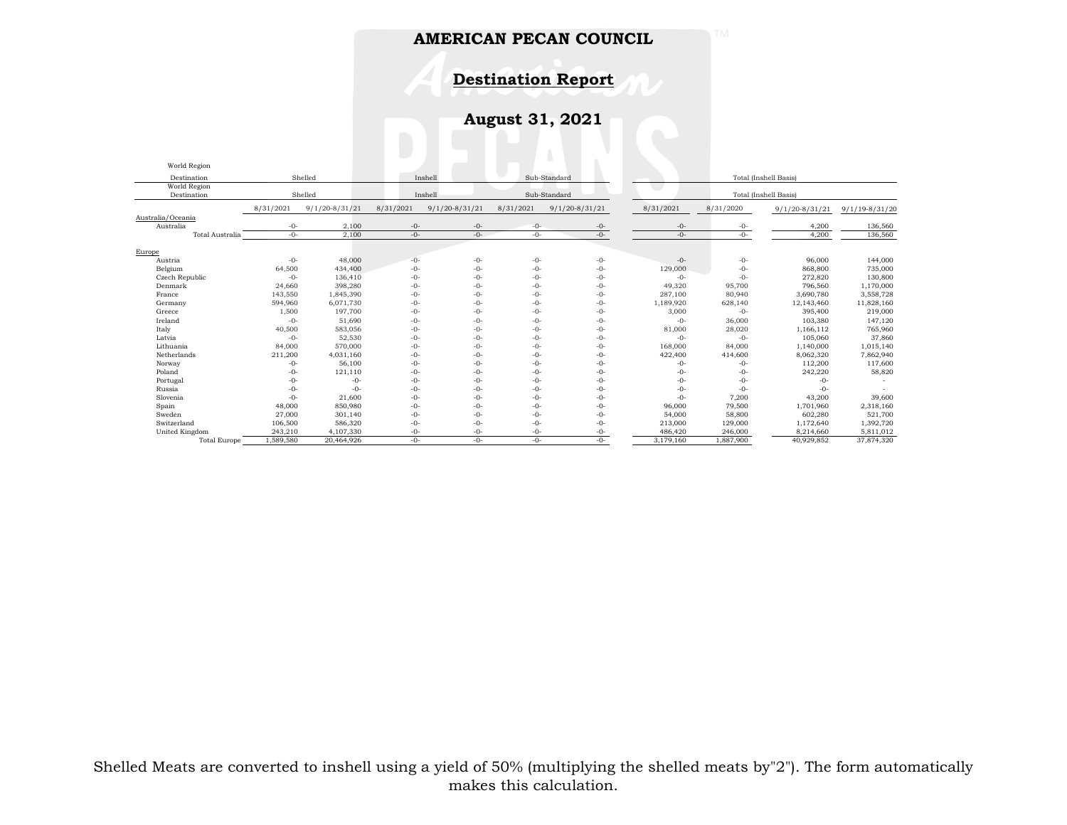**Destination Report**

**August 31, 2021**

| World Region        |           |                    |                         |                    |           |                    |                       |           |                       |                    |
|---------------------|-----------|--------------------|-------------------------|--------------------|-----------|--------------------|-----------------------|-----------|-----------------------|--------------------|
| Destination         |           | Shelled            |                         | Inshell            |           | Sub-Standard       |                       |           | Total (Inshell Basis) |                    |
| World Region        |           |                    |                         |                    |           |                    |                       |           |                       |                    |
| Destination         |           | Shelled            | Inshell<br>Sub-Standard |                    |           |                    | Total (Inshell Basis) |           |                       |                    |
|                     | 8/31/2021 | $9/1/20 - 8/31/21$ | 8/31/2021               | $9/1/20 - 8/31/21$ | 8/31/2021 | $9/1/20 - 8/31/21$ | 8/31/2021             | 8/31/2020 | $9/1/20 - 8/31/21$    | $9/1/19 - 8/31/20$ |
| Australia/Oceania   |           |                    |                         |                    |           |                    |                       |           |                       |                    |
| Australia           | $-0-$     | 2,100              | $-0-$                   | $-0-$              | $-0-$     | -0-                | $-0-$                 | $-0-$     | 4,200                 | 136,560            |
| Total Australia     | $-0-$     | 2.100              | $-0-$                   | $-0-$              | $-0-$     | $-0-$              | $-0-$                 | $-0-$     | 4.200                 | 136,560            |
| Europe              |           |                    |                         |                    |           |                    |                       |           |                       |                    |
| Austria             | $-0-$     | 48,000             | $-0-$                   | -0-                | $-0-$     | $-0-$              | $-0-$                 | $-0-$     | 96,000                | 144,000            |
| Belgium             | 64,500    | 434,400            | $-0-$                   | $-0-$              | $-0-$     | $-0-$              | 129,000               | $-0-$     | 868,800               | 735,000            |
| Czech Republic      | $-0-$     | 136,410            | $-0-$                   | -0-                | $-0-$     | $-0-$              | $-0-$                 | $-0-$     | 272,820               | 130,800            |
| Denmark             | 24,660    | 398,280            | $-0-$                   | -0-                | $-0-$     | $-0-$              | 49,320                | 95,700    | 796,560               | 1,170,000          |
| France              | 143,550   | 1,845,390          | $-0-$                   | -0-                | $-0-$     | $-0-$              | 287,100               | 80,940    | 3,690,780             | 3,558,728          |
| Germany             | 594,960   | 6,071,730          | $-0-$                   | $-()$ -            | $-0-$     | $-0-$              | 1,189,920             | 628,140   | 12,143,460            | 11,828,160         |
| Greece              | 1,500     | 197.700            | $-0-$                   | -0-                | $-0-$     | $-0-$              | 3,000                 | $-0-$     | 395,400               | 219,000            |
| Ireland             | $-0-$     | 51,690             | $-0-$                   | -0-                | $-0-$     | $-0-$              | $-0-$                 | 36,000    | 103,380               | 147,120            |
| Italy               | 40,500    | 583,056            | $-0-$                   | -0-                | $-0-$     | $-0-$              | 81,000                | 28,020    | 1,166,112             | 765,960            |
| Latvia              | $-0-$     | 52,530             | $-0-$                   | -0-                | $-0-$     | $-0-$              | $-0-$                 | $-0-$     | 105,060               | 37,860             |
| Lithuania           | 84,000    | 570,000            | $-0-$                   | -0-                | $-0-$     | $-0-$              | 168,000               | 84,000    | 1,140,000             | 1,015,140          |
| Netherlands         | 211,200   | 4,031,160          | $-0-$                   | -0-                | $-0-$     | $-0-$              | 422,400               | 414,600   | 8,062,320             | 7,862,940          |
| Norway              | $-0-$     | 56,100             | $-0-$                   | -0-                | $-0-$     | $-0-$              | $-0-$                 | $-0-$     | 112,200               | 117,600            |
| Poland              | $-0-$     | 121,110            | $-0-$                   | -0-                | $-0-$     | $-0-$              | $-0-$                 | $-0-$     | 242,220               | 58,820             |
| Portugal            | $-0-$     | $-0-$              | $-0-$                   | -0-                | $-0-$     | $-0-$              | $-0-$                 | $-0-$     | $-0-$                 |                    |
| Russia              | $-0-$     | $-0-$              | $-0-$                   | -0-                | $-0-$     | $-0-$              | $-0-$                 | $-0-$     | $-0-$                 |                    |
| Slovenia            | $-0-$     | 21,600             | $-0-$                   | -0-                | $-0-$     | $-0-$              | $-0-$                 | 7,200     | 43,200                | 39,600             |
| Spain               | 48,000    | 850,980            | $-0-$                   | -0-                | $-0-$     | $-0-$              | 96,000                | 79,500    | 1,701,960             | 2,318,160          |
| Sweden              | 27,000    | 301,140            | $-0-$                   | $-0-$              | $-0-$     | $-0-$              | 54,000                | 58,800    | 602,280               | 521,700            |
| Switzerland         | 106,500   | 586,320            | $-0-$                   | -0-                | $-()$ -   | $-0-$              | 213,000               | 129,000   | 1,172,640             | 1,392,720          |
| United Kingdom      | 243,210   | 4,107,330          | $-0-$                   | -0-                | $-0-$     | -0-                | 486,420               | 246,000   | 8,214,660             | 5,811,012          |
| <b>Total Europe</b> | 1,589,580 | 20,464,926         | $-()$ -                 | -0-                | $-()$ -   | $-()$ -            | 3,179,160             | 1,887,900 | 40,929,852            | 37,874,320         |